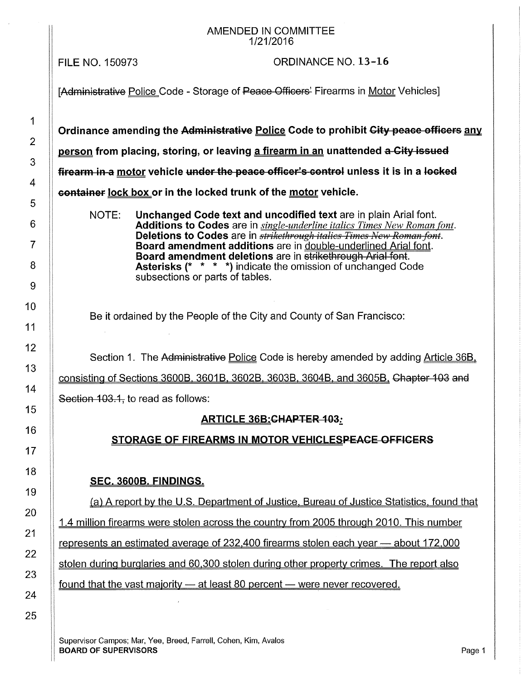#### AMENDED IN COMMITTEE 1/21/2016

FILE NO. 150973

## ORDINANCE NO. 13-16

25

[Administrative Police Code - Storage of Peace Officers' Firearms in Motor Vehicles]

Ordinance amending the Administrative Police Code to prohibit City peace officers any person from placing, storing, or leaving a firearm in an unattended a City issued firearm in a motor vehicle under the peace officer's control unless it is in a locked container lock box or in the locked trunk of the motor vehicle.

NOTE: Unchanged Code text and uncodified text are in plain Arial font. Additions to Codes are in *single-underline italics Times New Roman font.*  Deletions to Codes are in *strikethrough italics Times New Roman font.* Board amendment additions are in double-underlined Arial font. Board amendment deletions are in strikethrough Arial font. Asterisks {\* \* \* \*) indicate the omission of unchanged Code subsections or parts of tables.

Be it ordained by the People of the City and County of San Francisco:

Section 1. The Administrative Police Code is hereby amended by adding Article 36B.

consisting of Sections 3600B, 3601B, 3602B, 3603B, 3604B, and 3605B, Chapter 103 and

Section 103.1, to read as follows:

## ARTICLE 36B: CHAPTER 103:

#### STORAGE OF FIREARMS IN MOTOR VEHICLESPEACE OFFICERS

## SEC. 3600B. FINDINGS.

(a) A report by the U.S. Department of Justice. Bureau of Justice Statistics. found that

1.4 million firearms were stolen across the country from 2005 through 2010. This number

represents an estimated average of 232,400 firearms stolen each year - about 172,000

stolen during burglaries and 60.300 stolen during other property crimes. The report also

found that the vast majority  $-$  at least 80 percent  $-$  were never recovered.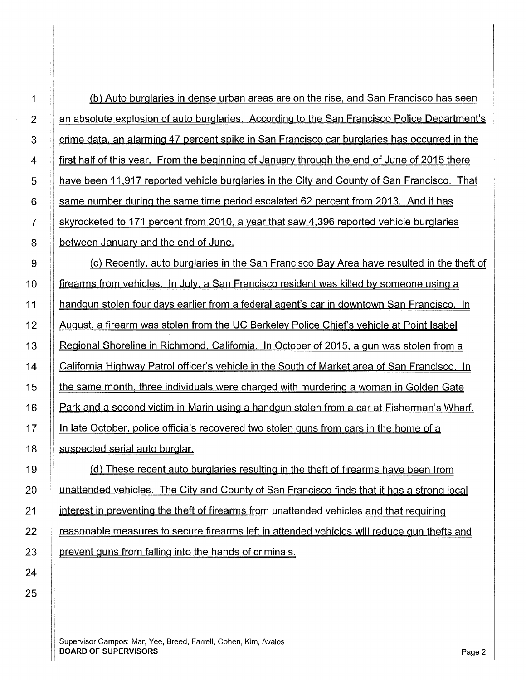| 1              | (b) Auto burglaries in dense urban areas are on the rise, and San Francisco has seen         |
|----------------|----------------------------------------------------------------------------------------------|
| $\overline{2}$ | an absolute explosion of auto burglaries. According to the San Francisco Police Department's |
| 3              | crime data, an alarming 47 percent spike in San Francisco car burglaries has occurred in the |
| 4              | first half of this year. From the beginning of January through the end of June of 2015 there |
| 5              | have been 11,917 reported vehicle burglaries in the City and County of San Francisco. That   |
| $6\,$          | same number during the same time period escalated 62 percent from 2013. And it has           |
| $\overline{7}$ | skyrocketed to 171 percent from 2010, a year that saw 4,396 reported vehicle burglaries      |
| 8              | between January and the end of June.                                                         |
| $9\,$          | (c) Recently, auto burglaries in the San Francisco Bay Area have resulted in the theft of    |
| 10             | firearms from vehicles. In July, a San Francisco resident was killed by someone using a      |
| 11             | handgun stolen four days earlier from a federal agent's car in downtown San Francisco. In    |
| 12             | August, a firearm was stolen from the UC Berkeley Police Chief's vehicle at Point Isabel     |
| 13             | Regional Shoreline in Richmond, California. In October of 2015, a gun was stolen from a      |
| 14             | California Highway Patrol officer's vehicle in the South of Market area of San Francisco. In |
| 15             | the same month, three individuals were charged with murdering a woman in Golden Gate         |
| 16             | Park and a second victim in Marin using a handgun stolen from a car at Fisherman's Wharf.    |
| 17             | In late October, police officials recovered two stolen guns from cars in the home of a       |
| 18             | suspected serial auto burglar.                                                               |
| 19             | (d) These recent auto burglaries resulting in the theft of firearms have been from           |
| 20             | unattended vehicles. The City and County of San Francisco finds that it has a strong local   |
| 21             | interest in preventing the theft of firearms from unattended vehicles and that requiring     |
| 22             | reasonable measures to secure firearms left in attended vehicles will reduce gun thefts and  |
| 23             | prevent guns from falling into the hands of criminals.                                       |

24 25

> Supervisor Campos; Mar, Yee, Breed, Farrell, Cohen, Kim, Avalos **BOARD OF SUPERVISORS** Page 2 and the state of the state of the state of the state of the state of the state of the state of the state of the state of the state of the state of the state of the state of the state of the st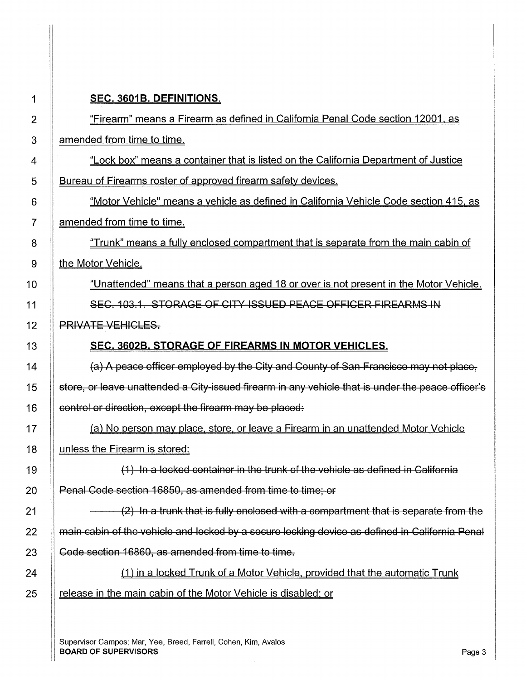| 1              | SEC. 3601B. DEFINITIONS.                                                                          |
|----------------|---------------------------------------------------------------------------------------------------|
| $\overline{2}$ | "Firearm" means a Firearm as defined in California Penal Code section 12001, as                   |
| 3              | amended from time to time.                                                                        |
| 4              | "Lock box" means a container that is listed on the California Department of Justice               |
| 5              | Bureau of Firearms roster of approved firearm safety devices.                                     |
| 6              | "Motor Vehicle" means a vehicle as defined in California Vehicle Code section 415, as             |
| 7              | amended from time to time.                                                                        |
| 8              | "Trunk" means a fully enclosed compartment that is separate from the main cabin of                |
| 9              | the Motor Vehicle.                                                                                |
| 10             | "Unattended" means that a person aged 18 or over is not present in the Motor Vehicle.             |
| 11             | SEC. 103.1. STORAGE OF CITY ISSUED PEACE OFFICER FIREARMS IN                                      |
| 12             | <b>PRIVATE VEHICLES.</b>                                                                          |
| 13             | <b>SEC. 3602B. STORAGE OF FIREARMS IN MOTOR VEHICLES.</b>                                         |
| 14             | (a) A peace officer employed by the City and County of San Francisco may not place,               |
| 15             | store, or leave unattended a City-issued firearm in any vehicle that is under the peace officer's |
| 16             | control or direction, except the firearm may be placed.                                           |
| 17             | (a) No person may place, store, or leave a Firearm in an unattended Motor Vehicle                 |
| 18             | unless the Firearm is stored:                                                                     |
| 19             | $(1)$ In a locked container in the trunk of the vehicle as defined in California                  |
| 20             | Penal Code section 16850, as amended from time to time; or                                        |
| 21             | (2) In a trunk that is fully enclosed with a compartment that is separate from the                |
| 22             | main cabin of the vehicle and locked by a secure locking device as defined in California Penal    |
| 23             | Code section 16860, as amended from time to time.                                                 |
| 24             | (1) in a locked Trunk of a Motor Vehicle, provided that the automatic Trunk                       |
| 25             | release in the main cabin of the Motor Vehicle is disabled; or                                    |
|                |                                                                                                   |

 $\sim$ 

Supervisor Campos; Mar, Yee, Breed, Farrell, Cohen, Kim, Avalos **BOARD OF SUPERVISORS** Page 3 And the set of the set of the set of the set of the set of the set of the set of the set of the set of the set of the set of the set of the set of the set of the set of the set of the set of t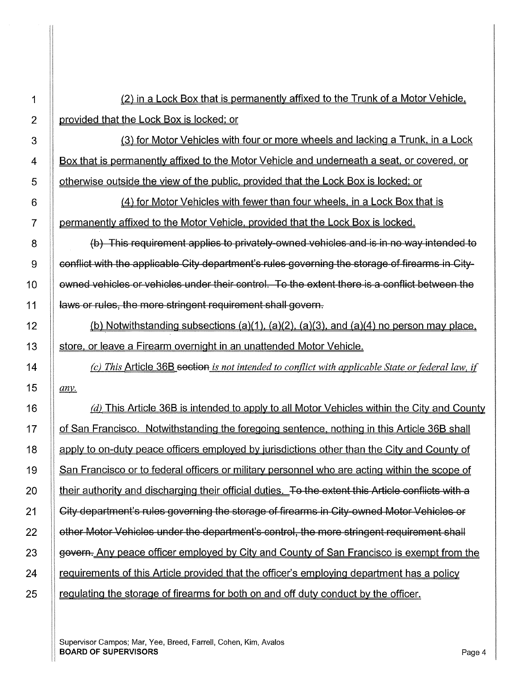1 (2) in a Lock Box that is permanently affixed to the Trunk of a Motor Vehicle. 2 **provided that the Lock Box is locked; or** 3 (3) for Motor Vehicles with four or more wheels and lacking a Trunk, in a Lock 4 **Box that is permanently affixed to the Motor Vehicle and underneath a seat, or covered, or** 5 | otherwise outside the view of the public, provided that the Lock Box is locked; or 6 (4) for Motor Vehicles with fewer than four wheels. in a Lock Box that is 7 | permanently affixed to the Motor Vehicle, provided that the Lock Box is locked. 8 (b) This requirement applies to privately-owned vehicles and is in no way intended to  $9$   $\parallel$  conflict with the applicable City department's rules governing the storage of firearms in City-10 | | ewned vehicles or vehicles under their control. To the extent there is a conflict between the 11 | aws or rules, the more stringent requirement shall govern. 12  $\parallel$  (b) Notwithstanding subsections (a)(1), (a)(2), (a)(3), and (a)(4) no person may place. 13 Store, or leave a Firearm overnight in an unattended Motor Vehicle. 14 *(c) This* Article 36B section *is not intended to conflict with applicable State or federal law, if*  15  $|$  *any*. 16  $\parallel$  (d) This Article 36B is intended to apply to all Motor Vehicles within the City and County 17 If of San Francisco. Notwithstanding the foregoing sentence, nothing in this Article 36B shall 18 | apply to on-duty peace officers employed by jurisdictions other than the City and County of 19 San Francisco or to federal officers or military personnel who are acting within the scope of I 20 I their authority and discharging their official duties. To the extent this Article conflicts with a 21 **City department's rules governing the storage of firearms in City-owned Motor Vehicles or** 22 | cther Motor Vehicles under the department's control, the more stringent requirement shall 23 | govern. Any peace officer employed by City and County of San Francisco is exempt from the 24 **requirements of this Article provided that the officer's employing department has a policy** 25 | regulating the storage of firearms for both on and off duty conduct by the officer. I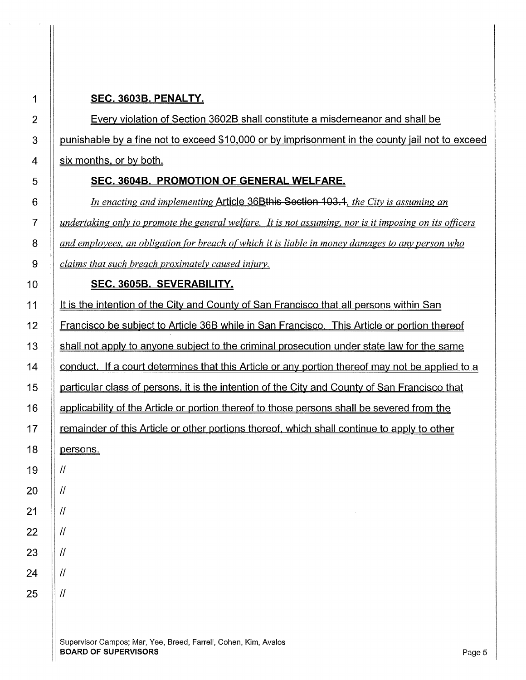## **SEC. 3603B. PENALTY.**

**Every violation of Section 3602B shall constitute a misdemeanor and shall be** 3 | punishable by a fine not to exceed \$10,000 or by imprisonment in the county jail not to exceed  $4 \parallel$  six months, or by both.

### **SEC. 36048. PROMOTION OF GENERAL WELFARE.**

*In enacting and implementing* Article 368this Section 103 .1. *the City is assuming an iii undertaking only to promote the general welfare. It is not assuming, nor is it imposing on its officers and employees, an obligation for breach of which it is liable in money damages to any person who claims that such breach proximately caused injury.* 

#### **SEC. 36058. SEVERA81LITY.**

| 11              | It is the intention of the City and County of San Francisco that all persons within San         |
|-----------------|-------------------------------------------------------------------------------------------------|
| 12 <sub>2</sub> | Francisco be subject to Article 36B while in San Francisco. This Article or portion thereof     |
| 13              | shall not apply to anyone subject to the criminal prosecution under state law for the same      |
| 14              | conduct. If a court determines that this Article or any portion thereof may not be applied to a |
| 15              | particular class of persons, it is the intention of the City and County of San Francisco that   |
| 16              | applicability of the Article or portion thereof to those persons shall be severed from the      |
| 17              | remainder of this Article or other portions thereof, which shall continue to apply to other     |
| 18              | persons.                                                                                        |
| 19              | $\prime$                                                                                        |
| 20              | $\mathcal{U}$                                                                                   |
| 21              | $\mathcal{U}$                                                                                   |
| 22              | $\mathcal{U}$                                                                                   |
| 23              | $\mathcal{U}$                                                                                   |
| 24              | $\mathcal{U}$                                                                                   |
| 25              | $\mathcal{U}$                                                                                   |
|                 |                                                                                                 |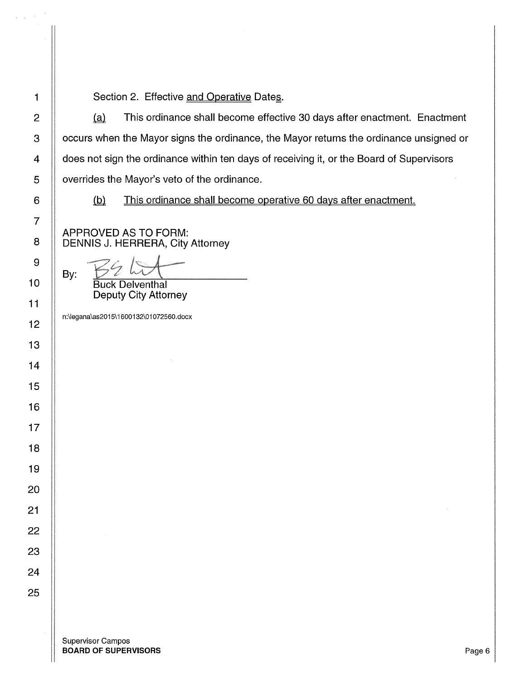1 | Section 2. Effective and Operative Dates.

 $\parallel$  (a) This ordinance shall become effective 30 days after enactment. Enactment 3 | occurs when the Mayor signs the ordinance, the Mayor returns the ordinance unsigned or  $\parallel$  does not sign the ordinance within ten days of receiving it, or the Board of Supervisors  $\parallel$  overrides the Mayor's veto of the ordinance.

(b) This ordinance shall become operative 60 days after enactment.

APPROVED AS TO FORM: 8 | DENNIS J. HERRERA, City Attorney

By: Buck Delventhal

Deputy City Attorney

n:\legana\as2015\ 1600132\01072560.docx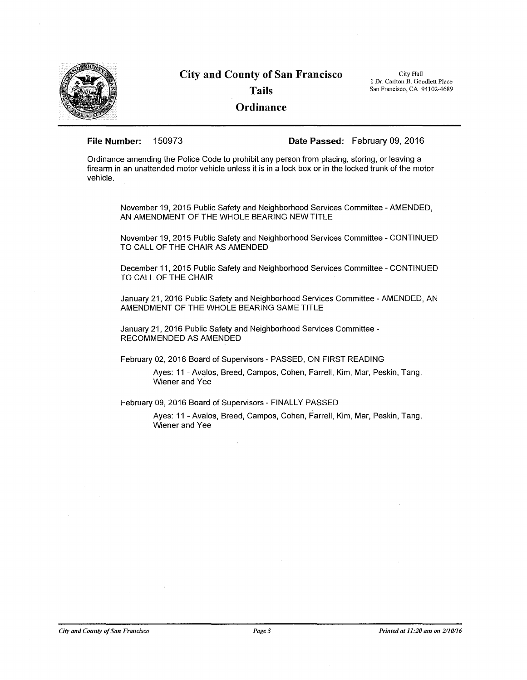

# **City and County of San Francisco Tails Ordinance**

City Hall 1 Dr. Carlton B. Goodlett Place San Francisco, CA 94102-4689

**File Number:** 150973 **Date Passed:** February 09, 2016

Ordinance amending the Police Code to prohibit any person from placing, storing, or leaving a firearm in an unattended motor vehicle unless it is in a lock box or in the locked trunk of the motor vehicle.

November 19, 2015 Public Safety and Neighborhood Services Committee -AMENDED, AN AMENDMENT OF THE WHOLE BEARING NEW TITLE

November 19, 2015 Public Safety and Neighborhood Services Committee - CONTINUED TO CALL OF THE CHAIR AS AMENDED

December 11, 2015 Public Safety and Neighborhood Services Committee - CONTINUED TO CALL OF THE CHAIR

January 21, 2016 Public Safety and Neighborhood Services Committee - AMENDED, AN AMENDMENT OF THE WHOLE BEARING SAME TITLE

January 21, 2016 Public Safety and Neighborhood Services Committee - RECOMMENDED AS AMENDED

February 02, 2016 Board of Supervisors - PASSED, ON FIRST READING

Ayes: 11 - Avalos, Breed, Campos, Cohen, Farrell, Kim, Mar, Peskin, Tang, Wiener and Yee

February 09, 2016 Board of Supervisors - FINALLY PASSED

Ayes: 11 - Avalos, Breed, Campos, Cohen, Farrell, Kim, Mar, Peskin, Tang, Wiener and Yee